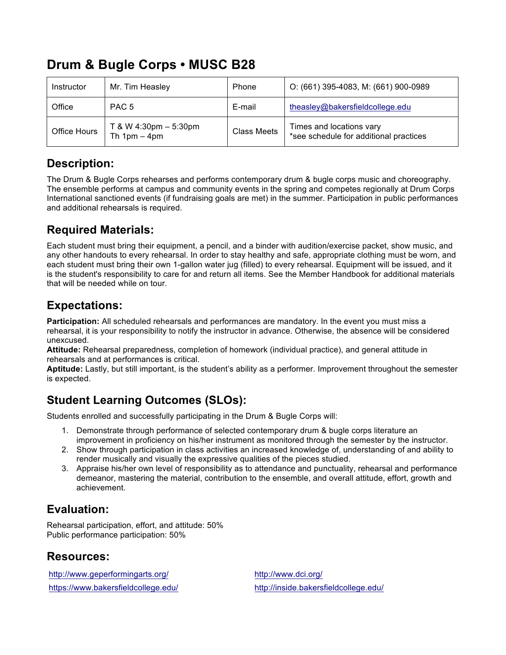# **Drum & Bugle Corps • MUSC B28**

| Instructor   | Mr. Tim Heasley                             | Phone       | O: (661) 395-4083, M: (661) 900-0989                               |
|--------------|---------------------------------------------|-------------|--------------------------------------------------------------------|
| Office       | PAC <sub>5</sub>                            | E-mail      | theasley@bakersfieldcollege.edu                                    |
| Office Hours | $T$ & W 4:30pm $-$ 5:30pm<br>Th $1pm - 4pm$ | Class Meets | Times and locations vary<br>*see schedule for additional practices |

#### **Description:**

The Drum & Bugle Corps rehearses and performs contemporary drum & bugle corps music and choreography. The ensemble performs at campus and community events in the spring and competes regionally at Drum Corps International sanctioned events (if fundraising goals are met) in the summer. Participation in public performances and additional rehearsals is required.

#### **Required Materials:**

Each student must bring their equipment, a pencil, and a binder with audition/exercise packet, show music, and any other handouts to every rehearsal. In order to stay healthy and safe, appropriate clothing must be worn, and each student must bring their own 1-gallon water jug (filled) to every rehearsal. Equipment will be issued, and it is the student's responsibility to care for and return all items. See the Member Handbook for additional materials that will be needed while on tour.

## **Expectations:**

**Participation:** All scheduled rehearsals and performances are mandatory. In the event you must miss a rehearsal, it is your responsibility to notify the instructor in advance. Otherwise, the absence will be considered unexcused.

**Attitude:** Rehearsal preparedness, completion of homework (individual practice), and general attitude in rehearsals and at performances is critical.

**Aptitude:** Lastly, but still important, is the student's ability as a performer. Improvement throughout the semester is expected.

# **Student Learning Outcomes (SLOs):**

Students enrolled and successfully participating in the Drum & Bugle Corps will:

- 1. Demonstrate through performance of selected contemporary drum & bugle corps literature an improvement in proficiency on his/her instrument as monitored through the semester by the instructor.
- 2. Show through participation in class activities an increased knowledge of, understanding of and ability to render musically and visually the expressive qualities of the pieces studied.
- 3. Appraise his/her own level of responsibility as to attendance and punctuality, rehearsal and performance demeanor, mastering the material, contribution to the ensemble, and overall attitude, effort, growth and achievement.

# **Evaluation:**

Rehearsal participation, effort, and attitude: 50% Public performance participation: 50%

### **Resources:**

http://www.geperformingarts.org/ http://www.dci.org/

https://www.bakersfieldcollege.edu/ http://inside.bakersfieldcollege.edu/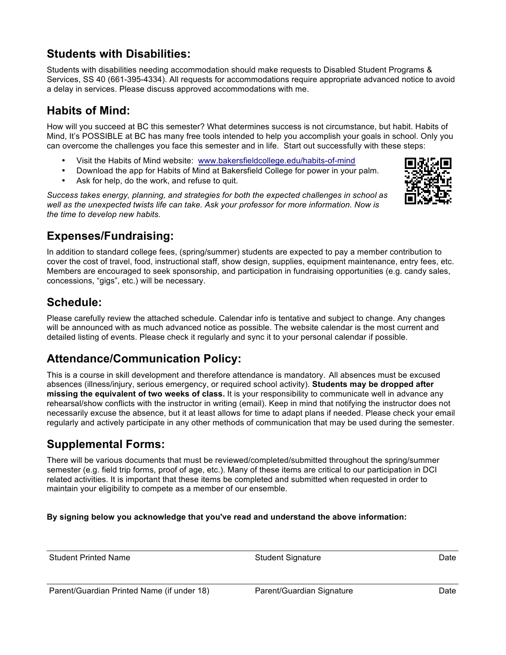## **Students with Disabilities:**

Students with disabilities needing accommodation should make requests to Disabled Student Programs & Services, SS 40 (661-395-4334). All requests for accommodations require appropriate advanced notice to avoid a delay in services. Please discuss approved accommodations with me.

#### **Habits of Mind:**

How will you succeed at BC this semester? What determines success is not circumstance, but habit. Habits of Mind, It's POSSIBLE at BC has many free tools intended to help you accomplish your goals in school. Only you can overcome the challenges you face this semester and in life. Start out successfully with these steps:

- Visit the Habits of Mind website: www.bakersfieldcollege.edu/habits-of-mind
- Download the app for Habits of Mind at Bakersfield College for power in your palm.
- Ask for help, do the work, and refuse to quit.

*Success takes energy, planning, and strategies for both the expected challenges in school as well as the unexpected twists life can take. Ask your professor for more information. Now is the time to develop new habits.*



### **Expenses/Fundraising:**

In addition to standard college fees, (spring/summer) students are expected to pay a member contribution to cover the cost of travel, food, instructional staff, show design, supplies, equipment maintenance, entry fees, etc. Members are encouraged to seek sponsorship, and participation in fundraising opportunities (e.g. candy sales, concessions, "gigs", etc.) will be necessary.

### **Schedule:**

Please carefully review the attached schedule. Calendar info is tentative and subject to change. Any changes will be announced with as much advanced notice as possible. The website calendar is the most current and detailed listing of events. Please check it regularly and sync it to your personal calendar if possible.

### **Attendance/Communication Policy:**

This is a course in skill development and therefore attendance is mandatory. All absences must be excused absences (illness/injury, serious emergency, or required school activity). **Students may be dropped after missing the equivalent of two weeks of class.** It is your responsibility to communicate well in advance any rehearsal/show conflicts with the instructor in writing (email). Keep in mind that notifying the instructor does not necessarily excuse the absence, but it at least allows for time to adapt plans if needed. Please check your email regularly and actively participate in any other methods of communication that may be used during the semester.

### **Supplemental Forms:**

There will be various documents that must be reviewed/completed/submitted throughout the spring/summer semester (e.g. field trip forms, proof of age, etc.). Many of these items are critical to our participation in DCI related activities. It is important that these items be completed and submitted when requested in order to maintain your eligibility to compete as a member of our ensemble.

**By signing below you acknowledge that you've read and understand the above information:**

Student Printed Name **Student Signature Student Signature Date** Date Parent/Guardian Printed Name (if under 18) Parent/Guardian Signature Cuardian Signature